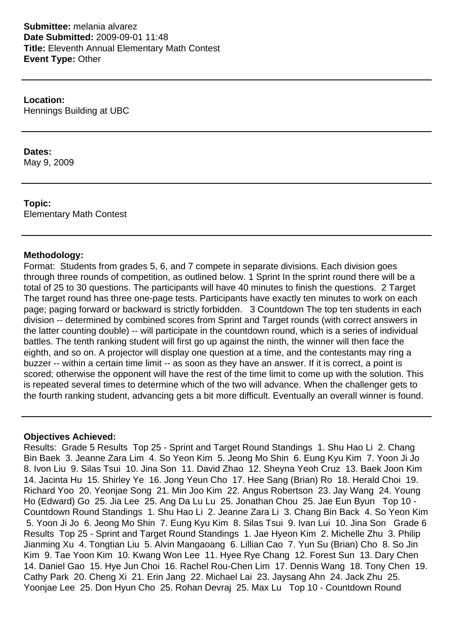**Submittee:** melania alvarez **Date Submitted:** 2009-09-01 11:48 **Title:** Eleventh Annual Elementary Math Contest **Event Type:** Other

**Location:** Hennings Building at UBC

# **Dates:**

May 9, 2009

**Topic:** Elementary Math Contest

## **Methodology:**

Format: Students from grades 5, 6, and 7 compete in separate divisions. Each division goes through three rounds of competition, as outlined below. 1 Sprint In the sprint round there will be a total of 25 to 30 questions. The participants will have 40 minutes to finish the questions. 2 Target The target round has three one-page tests. Participants have exactly ten minutes to work on each page; paging forward or backward is strictly forbidden. 3 Countdown The top ten students in each division -- determined by combined scores from Sprint and Target rounds (with correct answers in the latter counting double) -- will participate in the countdown round, which is a series of individual battles. The tenth ranking student will first go up against the ninth, the winner will then face the eighth, and so on. A projector will display one question at a time, and the contestants may ring a buzzer -- within a certain time limit -- as soon as they have an answer. If it is correct, a point is scored; otherwise the opponent will have the rest of the time limit to come up with the solution. This is repeated several times to determine which of the two will advance. When the challenger gets to the fourth ranking student, advancing gets a bit more difficult. Eventually an overall winner is found.

## **Objectives Achieved:**

Results: Grade 5 Results Top 25 - Sprint and Target Round Standings 1. Shu Hao Li 2. Chang Bin Baek 3. Jeanne Zara Lim 4. So Yeon Kim 5. Jeong Mo Shin 6. Eung Kyu Kim 7. Yoon Ji Jo 8. Ivon Liu 9. Silas Tsui 10. Jina Son 11. David Zhao 12. Sheyna Yeoh Cruz 13. Baek Joon Kim 14. Jacinta Hu 15. Shirley Ye 16. Jong Yeun Cho 17. Hee Sang (Brian) Ro 18. Herald Choi 19. Richard Yoo 20. Yeonjae Song 21. Min Joo Kim 22. Angus Robertson 23. Jay Wang 24. Young Ho (Edward) Go 25. Jia Lee 25. Ang Da Lu Lu 25. Jonathan Chou 25. Jae Eun Byun Top 10 - Countdown Round Standings 1. Shu Hao Li 2. Jeanne Zara Li 3. Chang Bin Back 4. So Yeon Kim 5. Yoon Ji Jo 6. Jeong Mo Shin 7. Eung Kyu Kim 8. Silas Tsui 9. Ivan Lui 10. Jina Son Grade 6 Results Top 25 - Sprint and Target Round Standings 1. Jae Hyeon Kim 2. Michelle Zhu 3. Philip Jianming Xu 4. Tongtian Liu 5. Alvin Mangaoang 6. Lillian Cao 7. Yun Su (Brian) Cho 8. So Jin Kim 9. Tae Yoon Kim 10. Kwang Won Lee 11. Hyee Rye Chang 12. Forest Sun 13. Dary Chen 14. Daniel Gao 15. Hye Jun Choi 16. Rachel Rou-Chen Lim 17. Dennis Wang 18. Tony Chen 19. Cathy Park 20. Cheng Xi 21. Erin Jang 22. Michael Lai 23. Jaysang Ahn 24. Jack Zhu 25. Yoonjae Lee 25. Don Hyun Cho 25. Rohan Devraj 25. Max Lu Top 10 - Countdown Round